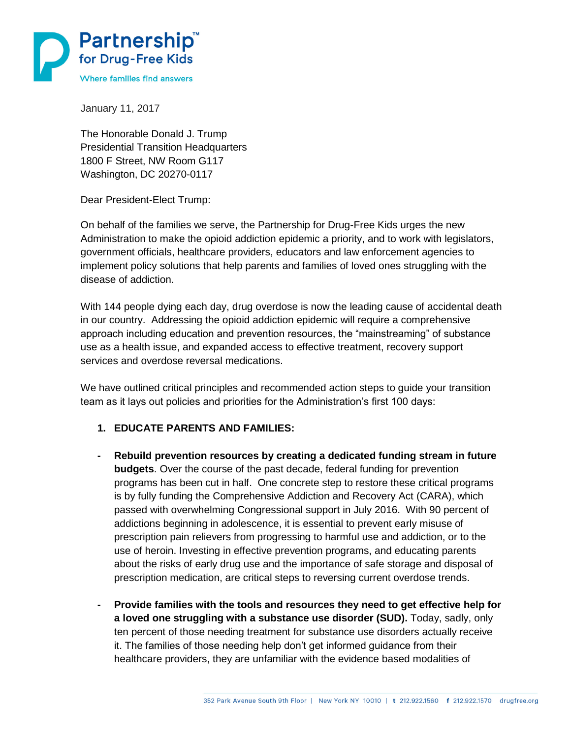

January 11, 2017

The Honorable Donald J. Trump Presidential Transition Headquarters 1800 F Street, NW Room G117 Washington, DC 20270-0117

Dear President-Elect Trump:

On behalf of the families we serve, the Partnership for Drug-Free Kids urges the new Administration to make the opioid addiction epidemic a priority, and to work with legislators, government officials, healthcare providers, educators and law enforcement agencies to implement policy solutions that help parents and families of loved ones struggling with the disease of addiction.

With 144 people dying each day, drug overdose is now the leading cause of accidental death in our country. Addressing the opioid addiction epidemic will require a comprehensive approach including education and prevention resources, the "mainstreaming" of substance use as a health issue, and expanded access to effective treatment, recovery support services and overdose reversal medications.

We have outlined critical principles and recommended action steps to guide your transition team as it lays out policies and priorities for the Administration's first 100 days:

## **1. EDUCATE PARENTS AND FAMILIES:**

- **- Rebuild prevention resources by creating a dedicated funding stream in future budgets**. Over the course of the past decade, federal funding for prevention programs has been cut in half. One concrete step to restore these critical programs is by fully funding the Comprehensive Addiction and Recovery Act (CARA), which passed with overwhelming Congressional support in July 2016. With 90 percent of addictions beginning in adolescence, it is essential to prevent early misuse of prescription pain relievers from progressing to harmful use and addiction, or to the use of heroin. Investing in effective prevention programs, and educating parents about the risks of early drug use and the importance of safe storage and disposal of prescription medication, are critical steps to reversing current overdose trends.
- **- Provide families with the tools and resources they need to get effective help for a loved one struggling with a substance use disorder (SUD).** Today, sadly, only ten percent of those needing treatment for substance use disorders actually receive it. The families of those needing help don't get informed guidance from their healthcare providers, they are unfamiliar with the evidence based modalities of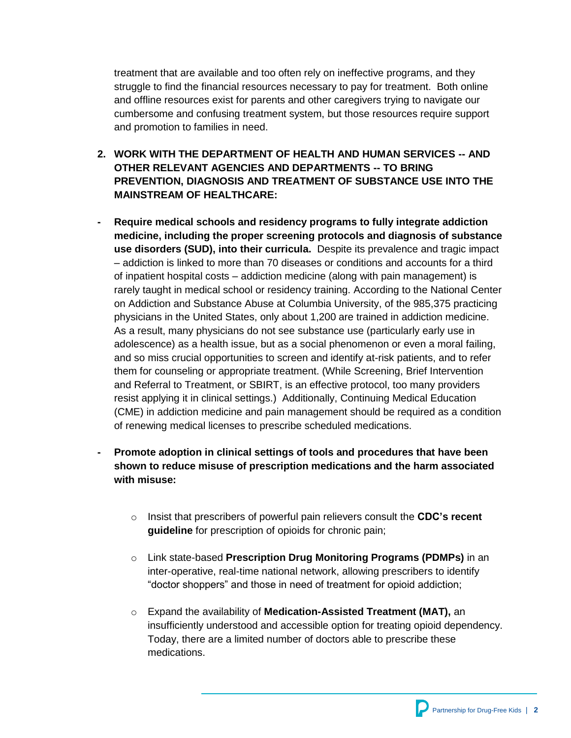treatment that are available and too often rely on ineffective programs, and they struggle to find the financial resources necessary to pay for treatment. Both online and offline resources exist for parents and other caregivers trying to navigate our cumbersome and confusing treatment system, but those resources require support and promotion to families in need.

- **2. WORK WITH THE DEPARTMENT OF HEALTH AND HUMAN SERVICES -- AND OTHER RELEVANT AGENCIES AND DEPARTMENTS -- TO BRING PREVENTION, DIAGNOSIS AND TREATMENT OF SUBSTANCE USE INTO THE MAINSTREAM OF HEALTHCARE:**
- **- Require medical schools and residency programs to fully integrate addiction medicine, including the proper screening protocols and diagnosis of substance use disorders (SUD), into their curricula.** Despite its prevalence and tragic impact – addiction is linked to more than 70 diseases or conditions and accounts for a third of inpatient hospital costs – addiction medicine (along with pain management) is rarely taught in medical school or residency training. According to the National Center on Addiction and Substance Abuse at Columbia University, of the 985,375 practicing physicians in the United States, only about 1,200 are trained in addiction medicine. As a result, many physicians do not see substance use (particularly early use in adolescence) as a health issue, but as a social phenomenon or even a moral failing, and so miss crucial opportunities to screen and identify at-risk patients, and to refer them for counseling or appropriate treatment. (While Screening, Brief Intervention and Referral to Treatment, or SBIRT, is an effective protocol, too many providers resist applying it in clinical settings.) Additionally, Continuing Medical Education (CME) in addiction medicine and pain management should be required as a condition of renewing medical licenses to prescribe scheduled medications.
- **- Promote adoption in clinical settings of tools and procedures that have been shown to reduce misuse of prescription medications and the harm associated with misuse:**
	- o Insist that prescribers of powerful pain relievers consult the **CDC's recent guideline** for prescription of opioids for chronic pain;
	- o Link state-based **Prescription Drug Monitoring Programs (PDMPs)** in an inter-operative, real-time national network, allowing prescribers to identify "doctor shoppers" and those in need of treatment for opioid addiction;
	- o Expand the availability of **Medication-Assisted Treatment (MAT),** an insufficiently understood and accessible option for treating opioid dependency. Today, there are a limited number of doctors able to prescribe these medications.

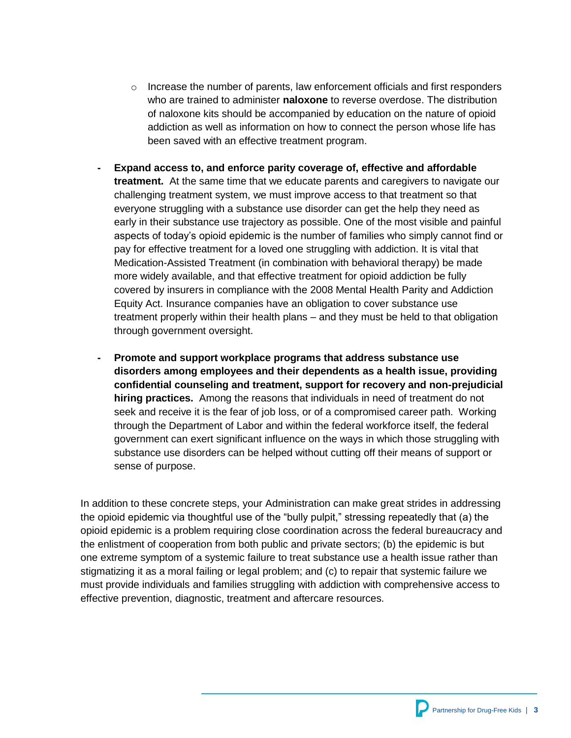- $\circ$  Increase the number of parents, law enforcement officials and first responders who are trained to administer **naloxone** to reverse overdose. The distribution of naloxone kits should be accompanied by education on the nature of opioid addiction as well as information on how to connect the person whose life has been saved with an effective treatment program.
- **- Expand access to, and enforce parity coverage of, effective and affordable treatment.** At the same time that we educate parents and caregivers to navigate our challenging treatment system, we must improve access to that treatment so that everyone struggling with a substance use disorder can get the help they need as early in their substance use trajectory as possible. One of the most visible and painful aspects of today's opioid epidemic is the number of families who simply cannot find or pay for effective treatment for a loved one struggling with addiction. It is vital that Medication-Assisted Treatment (in combination with behavioral therapy) be made more widely available, and that effective treatment for opioid addiction be fully covered by insurers in compliance with the 2008 Mental Health Parity and Addiction Equity Act. Insurance companies have an obligation to cover substance use treatment properly within their health plans – and they must be held to that obligation through government oversight.
- **- Promote and support workplace programs that address substance use disorders among employees and their dependents as a health issue, providing confidential counseling and treatment, support for recovery and non-prejudicial hiring practices.** Among the reasons that individuals in need of treatment do not seek and receive it is the fear of job loss, or of a compromised career path. Working through the Department of Labor and within the federal workforce itself, the federal government can exert significant influence on the ways in which those struggling with substance use disorders can be helped without cutting off their means of support or sense of purpose.

In addition to these concrete steps, your Administration can make great strides in addressing the opioid epidemic via thoughtful use of the "bully pulpit," stressing repeatedly that (a) the opioid epidemic is a problem requiring close coordination across the federal bureaucracy and the enlistment of cooperation from both public and private sectors; (b) the epidemic is but one extreme symptom of a systemic failure to treat substance use a health issue rather than stigmatizing it as a moral failing or legal problem; and (c) to repair that systemic failure we must provide individuals and families struggling with addiction with comprehensive access to effective prevention, diagnostic, treatment and aftercare resources.